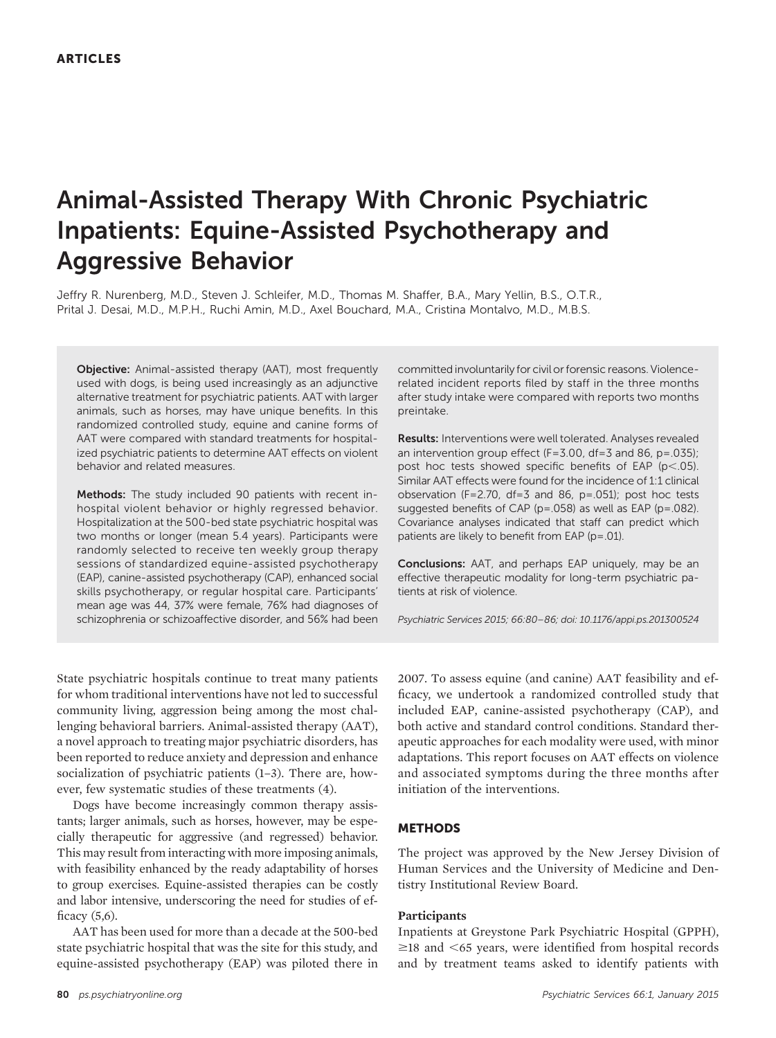# Animal-Assisted Therapy With Chronic Psychiatric Inpatients: Equine-Assisted Psychotherapy and Aggressive Behavior

Jeffry R. Nurenberg, M.D., Steven J. Schleifer, M.D., Thomas M. Shaffer, B.A., Mary Yellin, B.S., O.T.R., Prital J. Desai, M.D., M.P.H., Ruchi Amin, M.D., Axel Bouchard, M.A., Cristina Montalvo, M.D., M.B.S.

Objective: Animal-assisted therapy (AAT), most frequently used with dogs, is being used increasingly as an adjunctive alternative treatment for psychiatric patients. AAT with larger animals, such as horses, may have unique benefits. In this randomized controlled study, equine and canine forms of AAT were compared with standard treatments for hospitalized psychiatric patients to determine AAT effects on violent behavior and related measures.

Methods: The study included 90 patients with recent inhospital violent behavior or highly regressed behavior. Hospitalization at the 500-bed state psychiatric hospital was two months or longer (mean 5.4 years). Participants were randomly selected to receive ten weekly group therapy sessions of standardized equine-assisted psychotherapy (EAP), canine-assisted psychotherapy (CAP), enhanced social skills psychotherapy, or regular hospital care. Participants' mean age was 44, 37% were female, 76% had diagnoses of schizophrenia or schizoaffective disorder, and 56% had been

committed involuntarily for civil or forensic reasons. Violencerelated incident reports filed by staff in the three months after study intake were compared with reports two months preintake.

Results: Interventions were well tolerated. Analyses revealed an intervention group effect (F=3.00, df=3 and 86, p=.035); post hoc tests showed specific benefits of EAP ( $p$ <.05). Similar AAT effects were found for the incidence of 1:1 clinical observation (F=2.70, df=3 and 86, p=.051); post hoc tests suggested benefits of CAP (p=.058) as well as EAP (p=.082). Covariance analyses indicated that staff can predict which patients are likely to benefit from EAP (p=.01).

Conclusions: AAT, and perhaps EAP uniquely, may be an effective therapeutic modality for long-term psychiatric patients at risk of violence.

Psychiatric Services 2015; 66:80–86; doi: 10.1176/appi.ps.201300524

State psychiatric hospitals continue to treat many patients for whom traditional interventions have not led to successful community living, aggression being among the most challenging behavioral barriers. Animal-assisted therapy (AAT), a novel approach to treating major psychiatric disorders, has been reported to reduce anxiety and depression and enhance socialization of psychiatric patients (1–3). There are, however, few systematic studies of these treatments (4).

Dogs have become increasingly common therapy assistants; larger animals, such as horses, however, may be especially therapeutic for aggressive (and regressed) behavior. This may result from interacting with more imposing animals, with feasibility enhanced by the ready adaptability of horses to group exercises. Equine-assisted therapies can be costly and labor intensive, underscoring the need for studies of efficacy (5,6).

AAT has been used for more than a decade at the 500-bed state psychiatric hospital that was the site for this study, and equine-assisted psychotherapy (EAP) was piloted there in 2007. To assess equine (and canine) AAT feasibility and efficacy, we undertook a randomized controlled study that included EAP, canine-assisted psychotherapy (CAP), and both active and standard control conditions. Standard therapeutic approaches for each modality were used, with minor adaptations. This report focuses on AAT effects on violence and associated symptoms during the three months after initiation of the interventions.

# **METHODS**

The project was approved by the New Jersey Division of Human Services and the University of Medicine and Dentistry Institutional Review Board.

# Participants

Inpatients at Greystone Park Psychiatric Hospital (GPPH),  $\geq$ 18 and  $\leq$ 65 years, were identified from hospital records and by treatment teams asked to identify patients with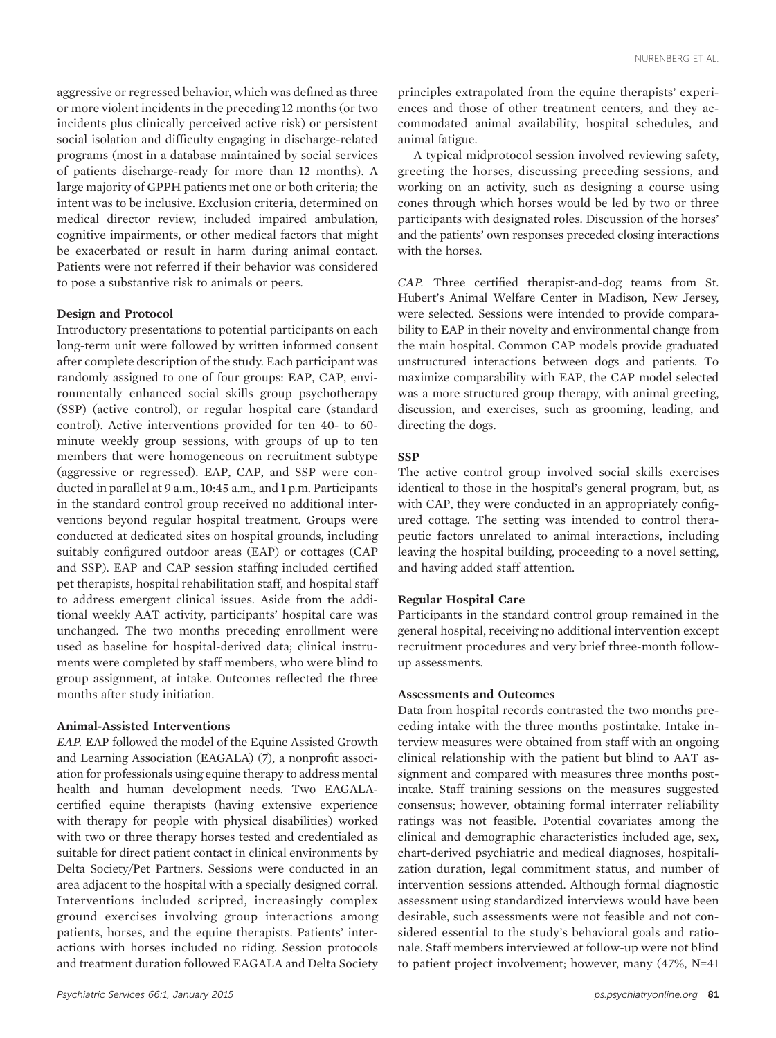aggressive or regressed behavior, which was defined as three or more violent incidents in the preceding 12 months (or two incidents plus clinically perceived active risk) or persistent social isolation and difficulty engaging in discharge-related programs (most in a database maintained by social services of patients discharge-ready for more than 12 months). A large majority of GPPH patients met one or both criteria; the intent was to be inclusive. Exclusion criteria, determined on medical director review, included impaired ambulation, cognitive impairments, or other medical factors that might be exacerbated or result in harm during animal contact. Patients were not referred if their behavior was considered to pose a substantive risk to animals or peers.

## Design and Protocol

Introductory presentations to potential participants on each long-term unit were followed by written informed consent after complete description of the study. Each participant was randomly assigned to one of four groups: EAP, CAP, environmentally enhanced social skills group psychotherapy (SSP) (active control), or regular hospital care (standard control). Active interventions provided for ten 40- to 60 minute weekly group sessions, with groups of up to ten members that were homogeneous on recruitment subtype (aggressive or regressed). EAP, CAP, and SSP were conducted in parallel at 9 a.m., 10:45 a.m., and 1 p.m. Participants in the standard control group received no additional interventions beyond regular hospital treatment. Groups were conducted at dedicated sites on hospital grounds, including suitably configured outdoor areas (EAP) or cottages (CAP and SSP). EAP and CAP session staffing included certified pet therapists, hospital rehabilitation staff, and hospital staff to address emergent clinical issues. Aside from the additional weekly AAT activity, participants' hospital care was unchanged. The two months preceding enrollment were used as baseline for hospital-derived data; clinical instruments were completed by staff members, who were blind to group assignment, at intake. Outcomes reflected the three months after study initiation.

# Animal-Assisted Interventions

EAP. EAP followed the model of the Equine Assisted Growth and Learning Association (EAGALA) (7), a nonprofit association for professionals using equine therapy to address mental health and human development needs. Two EAGALAcertified equine therapists (having extensive experience with therapy for people with physical disabilities) worked with two or three therapy horses tested and credentialed as suitable for direct patient contact in clinical environments by Delta Society/Pet Partners. Sessions were conducted in an area adjacent to the hospital with a specially designed corral. Interventions included scripted, increasingly complex ground exercises involving group interactions among patients, horses, and the equine therapists. Patients' interactions with horses included no riding. Session protocols and treatment duration followed EAGALA and Delta Society

principles extrapolated from the equine therapists' experiences and those of other treatment centers, and they accommodated animal availability, hospital schedules, and animal fatigue.

A typical midprotocol session involved reviewing safety, greeting the horses, discussing preceding sessions, and working on an activity, such as designing a course using cones through which horses would be led by two or three participants with designated roles. Discussion of the horses' and the patients' own responses preceded closing interactions with the horses.

CAP. Three certified therapist-and-dog teams from St. Hubert's Animal Welfare Center in Madison, New Jersey, were selected. Sessions were intended to provide comparability to EAP in their novelty and environmental change from the main hospital. Common CAP models provide graduated unstructured interactions between dogs and patients. To maximize comparability with EAP, the CAP model selected was a more structured group therapy, with animal greeting, discussion, and exercises, such as grooming, leading, and directing the dogs.

### **SSP**

The active control group involved social skills exercises identical to those in the hospital's general program, but, as with CAP, they were conducted in an appropriately configured cottage. The setting was intended to control therapeutic factors unrelated to animal interactions, including leaving the hospital building, proceeding to a novel setting, and having added staff attention.

# Regular Hospital Care

Participants in the standard control group remained in the general hospital, receiving no additional intervention except recruitment procedures and very brief three-month followup assessments.

## Assessments and Outcomes

Data from hospital records contrasted the two months preceding intake with the three months postintake. Intake interview measures were obtained from staff with an ongoing clinical relationship with the patient but blind to AAT assignment and compared with measures three months postintake. Staff training sessions on the measures suggested consensus; however, obtaining formal interrater reliability ratings was not feasible. Potential covariates among the clinical and demographic characteristics included age, sex, chart-derived psychiatric and medical diagnoses, hospitalization duration, legal commitment status, and number of intervention sessions attended. Although formal diagnostic assessment using standardized interviews would have been desirable, such assessments were not feasible and not considered essential to the study's behavioral goals and rationale. Staff members interviewed at follow-up were not blind to patient project involvement; however, many (47%, N=41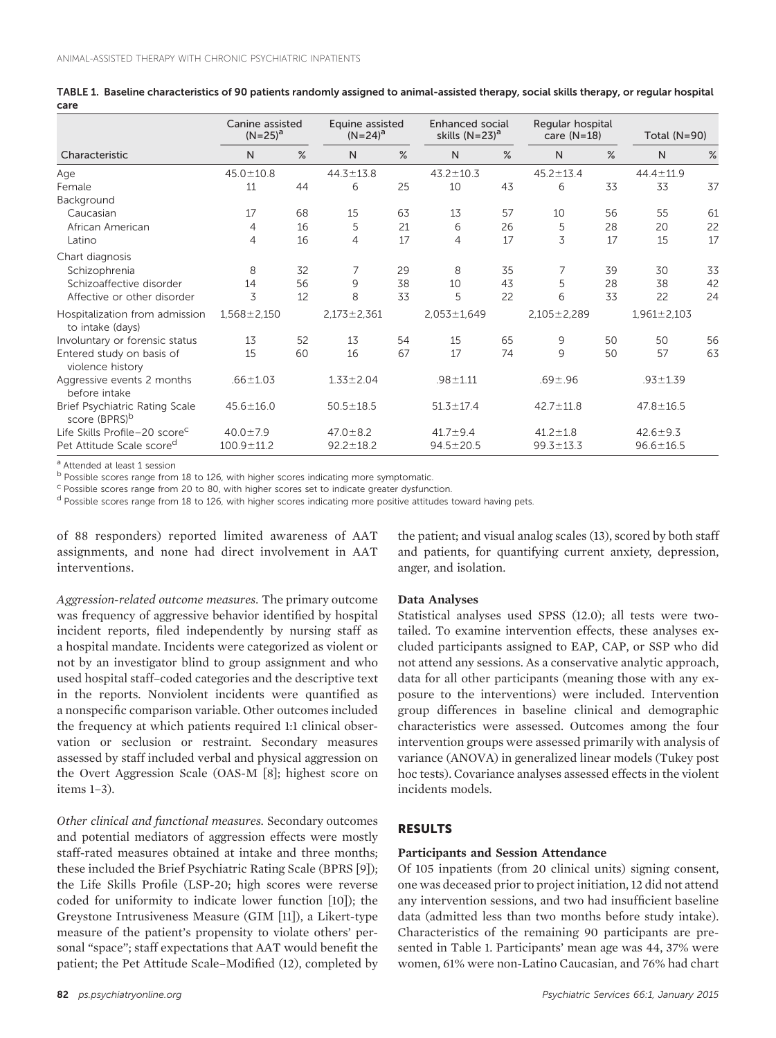|                                                             | Canine assisted<br>$(N=25)^a$ |      | Equine assisted<br>$(N=24)^a$ |      | <b>Enhanced social</b><br>skills $(N=23)^a$ |      | Regular hospital<br>care $(N=18)$ |      | Total (N=90)      |      |  |
|-------------------------------------------------------------|-------------------------------|------|-------------------------------|------|---------------------------------------------|------|-----------------------------------|------|-------------------|------|--|
| Characteristic                                              | N                             | $\%$ | N                             | $\%$ | $\mathsf{N}$                                | $\%$ | $\mathsf{N}$                      | $\%$ | N                 | $\%$ |  |
| Age                                                         | $45.0 \pm 10.8$               |      | $44.3 \pm 13.8$               |      | $43.2 \pm 10.3$                             |      | $45.2 \pm 13.4$                   |      | 44.4 ± 11.9       |      |  |
| Female                                                      | 11                            | 44   | 6                             | 25   | 10                                          | 43   | 6                                 | 33   | 33                | 37   |  |
| Background                                                  |                               |      |                               |      |                                             |      |                                   |      |                   |      |  |
| Caucasian                                                   | 17                            | 68   | 15                            | 63   | 13                                          | 57   | 10                                | 56   | 55                | 61   |  |
| African American                                            | 4                             | 16   | 5                             | 21   | 6                                           | 26   | 5                                 | 28   | 20                | 22   |  |
| Latino                                                      | 4                             | 16   | 4                             | 17   | 4                                           | 17   | 3                                 | 17   | 15                | 17   |  |
| Chart diagnosis                                             |                               |      |                               |      |                                             |      |                                   |      |                   |      |  |
| Schizophrenia                                               | 8                             | 32   |                               | 29   | 8                                           | 35   |                                   | 39   | 30                | 33   |  |
| Schizoaffective disorder                                    | 14                            | 56   | 9                             | 38   | 10                                          | 43   | 5                                 | 28   | 38                | 42   |  |
| Affective or other disorder                                 | 3                             | 12   | 8                             | 33   | 5                                           | 22   | 6                                 | 33   | 22                | 24   |  |
| Hospitalization from admission<br>to intake (days)          | $1,568 \pm 2,150$             |      | $2,173 \pm 2,361$             |      | $2,053 \pm 1,649$                           |      | $2,105 \pm 2,289$                 |      | $1,961 \pm 2,103$ |      |  |
| Involuntary or forensic status                              | 13                            | 52   | 13                            | 54   | 15                                          | 65   | 9                                 | 50   | 50                | 56   |  |
| Entered study on basis of<br>violence history               | 15                            | 60   | 16                            | 67   | 17                                          | 74   | 9                                 | 50   | 57                | 63   |  |
| Aggressive events 2 months<br>before intake                 | $.66 \pm 1.03$                |      | $1.33 \pm 2.04$               |      | $.98 + 1.11$                                |      | $.69 + .96$                       |      | $.93 + 1.39$      |      |  |
| Brief Psychiatric Rating Scale<br>score (BPRS) <sup>b</sup> | $45.6 \pm 16.0$               |      | $50.5 \pm 18.5$               |      | $51.3 \pm 17.4$                             |      | $42.7 \pm 11.8$                   |      | $47.8 \pm 16.5$   |      |  |
| Life Skills Profile-20 score <sup>c</sup>                   | $40.0 \pm 7.9$                |      | $47.0 \pm 8.2$                |      | $41.7 \pm 9.4$                              |      | $41.2 \pm 1.8$                    |      | $42.6 \pm 9.3$    |      |  |
| Pet Attitude Scale score <sup>d</sup>                       | $100.9 \pm 11.2$              |      | $92.2 \pm 18.2$               |      | $94.5 \pm 20.5$                             |      | $99.3 \pm 13.3$                   |      | $96.6 \pm 16.5$   |      |  |

TABLE 1. Baseline characteristics of 90 patients randomly assigned to animal-assisted therapy, social skills therapy, or regular hospital care

a Attended at least 1 session

b Possible scores range from 18 to 126, with higher scores indicating more symptomatic.

 $\text{c}$  Possible scores range from 20 to 80, with higher scores set to indicate greater dysfunction.

<sup>d</sup> Possible scores range from 18 to 126, with higher scores indicating more positive attitudes toward having pets.

of 88 responders) reported limited awareness of AAT assignments, and none had direct involvement in AAT interventions.

Aggression-related outcome measures. The primary outcome was frequency of aggressive behavior identified by hospital incident reports, filed independently by nursing staff as a hospital mandate. Incidents were categorized as violent or not by an investigator blind to group assignment and who used hospital staff–coded categories and the descriptive text in the reports. Nonviolent incidents were quantified as a nonspecific comparison variable. Other outcomes included the frequency at which patients required 1:1 clinical observation or seclusion or restraint. Secondary measures assessed by staff included verbal and physical aggression on the Overt Aggression Scale (OAS-M [8]; highest score on items 1–3).

Other clinical and functional measures. Secondary outcomes and potential mediators of aggression effects were mostly staff-rated measures obtained at intake and three months; these included the Brief Psychiatric Rating Scale (BPRS [9]); the Life Skills Profile (LSP-20; high scores were reverse coded for uniformity to indicate lower function [10]); the Greystone Intrusiveness Measure (GIM [11]), a Likert-type measure of the patient's propensity to violate others' personal "space"; staff expectations that AAT would benefit the patient; the Pet Attitude Scale–Modified (12), completed by

the patient; and visual analog scales (13), scored by both staff and patients, for quantifying current anxiety, depression, anger, and isolation.

### Data Analyses

Statistical analyses used SPSS (12.0); all tests were twotailed. To examine intervention effects, these analyses excluded participants assigned to EAP, CAP, or SSP who did not attend any sessions. As a conservative analytic approach, data for all other participants (meaning those with any exposure to the interventions) were included. Intervention group differences in baseline clinical and demographic characteristics were assessed. Outcomes among the four intervention groups were assessed primarily with analysis of variance (ANOVA) in generalized linear models (Tukey post hoc tests). Covariance analyses assessed effects in the violent incidents models.

# RESULTS

## Participants and Session Attendance

Of 105 inpatients (from 20 clinical units) signing consent, one was deceased prior to project initiation, 12 did not attend any intervention sessions, and two had insufficient baseline data (admitted less than two months before study intake). Characteristics of the remaining 90 participants are presented in Table 1. Participants' mean age was 44, 37% were women, 61% were non-Latino Caucasian, and 76% had chart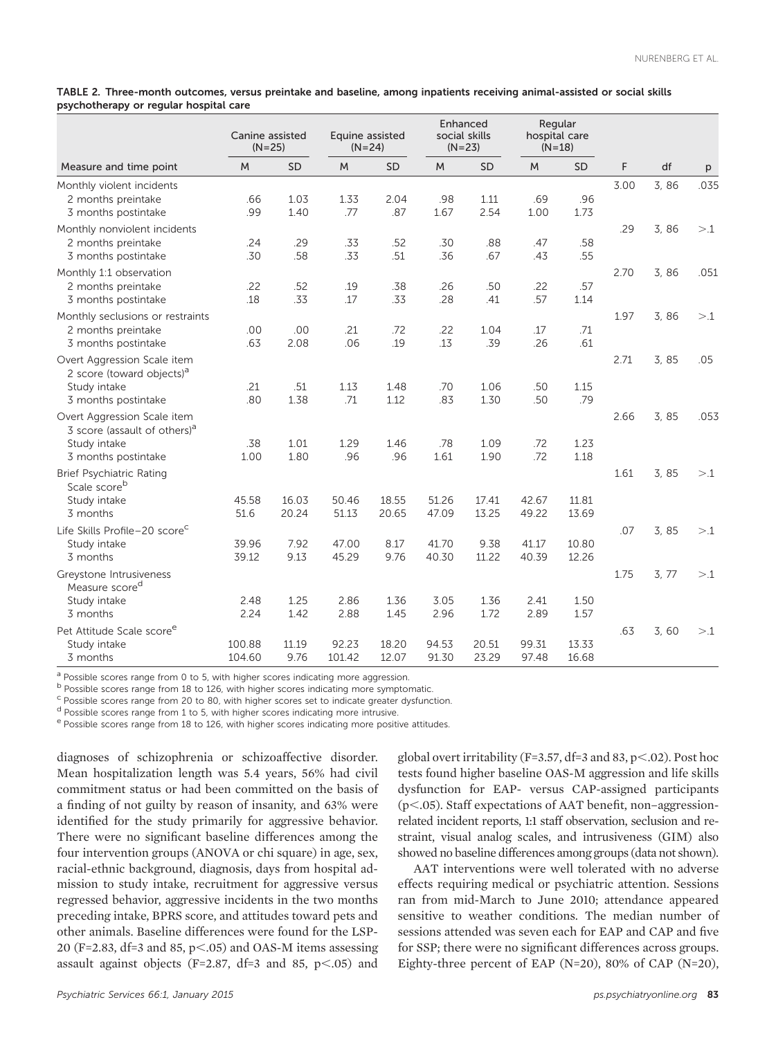TABLE 2. Three-month outcomes, versus preintake and baseline, among inpatients receiving animal-assisted or social skills psychotherapy or regular hospital care

| Measure and time point                                                                                         | Canine assisted<br>$(N=25)$ |                | Equine assisted<br>$(N=24)$ |                | Enhanced<br>social skills<br>$(N=23)$ |                | Regular<br>hospital care<br>$(N=18)$ |                |      |       |      |
|----------------------------------------------------------------------------------------------------------------|-----------------------------|----------------|-----------------------------|----------------|---------------------------------------|----------------|--------------------------------------|----------------|------|-------|------|
|                                                                                                                | M                           | <b>SD</b>      | M                           | <b>SD</b>      | M                                     | <b>SD</b>      | M                                    | <b>SD</b>      | F    | df    | p    |
| Monthly violent incidents<br>2 months preintake<br>3 months postintake                                         | .66<br>.99                  | 1.03<br>1.40   | 1.33<br>.77                 | 2.04<br>.87    | .98<br>1.67                           | 1.11<br>2.54   | .69<br>1.00                          | .96<br>1.73    | 3.00 | 3,86  | .035 |
| Monthly nonviolent incidents<br>2 months preintake<br>3 months postintake                                      | .24<br>.30                  | .29<br>.58     | .33<br>.33                  | .52<br>.51     | .30<br>.36                            | .88<br>.67     | .47<br>.43                           | .58<br>.55     | .29  | 3,86  | >1   |
| Monthly 1:1 observation<br>2 months preintake<br>3 months postintake                                           | .22<br>.18                  | .52<br>.33     | .19<br>.17                  | .38<br>.33     | .26<br>.28                            | .50<br>.41     | .22<br>.57                           | .57<br>1.14    | 2.70 | 3,86  | .051 |
| Monthly seclusions or restraints<br>2 months preintake<br>3 months postintake                                  | .00<br>.63                  | .00<br>2.08    | .21<br>.06                  | .72<br>.19     | .22<br>.13                            | 1.04<br>.39    | .17<br>.26                           | .71<br>.61     | 1.97 | 3,86  | >1   |
| Overt Aggression Scale item<br>2 score (toward objects) <sup>a</sup><br>Study intake<br>3 months postintake    | .21<br>.80                  | .51<br>1.38    | 1.13<br>.71                 | 1.48<br>1.12   | .70<br>.83                            | 1.06<br>1.30   | .50<br>.50                           | 1.15<br>.79    | 2.71 | 3,85  | .05  |
| Overt Aggression Scale item<br>3 score (assault of others) <sup>a</sup><br>Study intake<br>3 months postintake | .38<br>1.00                 | 1.01<br>1.80   | 1.29<br>.96                 | 1.46<br>.96    | .78<br>1.61                           | 1.09<br>1.90   | .72<br>.72                           | 1.23<br>1.18   | 2.66 | 3,85  | .053 |
| <b>Brief Psychiatric Rating</b><br>Scale score <sup>b</sup><br>Study intake<br>3 months                        | 45.58<br>51.6               | 16.03<br>20.24 | 50.46<br>51.13              | 18.55<br>20.65 | 51.26<br>47.09                        | 17.41<br>13.25 | 42.67<br>49.22                       | 11.81<br>13.69 | 1.61 | 3,85  | >1   |
| Life Skills Profile-20 score <sup>c</sup><br>Study intake<br>3 months                                          | 39.96<br>39.12              | 7.92<br>9.13   | 47.00<br>45.29              | 8.17<br>9.76   | 41.70<br>40.30                        | 9.38<br>11.22  | 41.17<br>40.39                       | 10.80<br>12.26 | .07  | 3,85  | >1   |
| Greystone Intrusiveness<br>Measure score <sup>d</sup><br>Study intake<br>3 months                              | 2.48<br>2.24                | 1.25<br>1.42   | 2.86<br>2.88                | 1.36<br>1.45   | 3.05<br>2.96                          | 1.36<br>1.72   | 2.41<br>2.89                         | 1.50<br>1.57   | 1.75 | 3, 77 | >1   |
| Pet Attitude Scale score <sup>e</sup><br>Study intake<br>3 months                                              | 100.88<br>104.60            | 11.19<br>9.76  | 92.23<br>101.42             | 18.20<br>12.07 | 94.53<br>91.30                        | 20.51<br>23.29 | 99.31<br>97.48                       | 13.33<br>16.68 | .63  | 3,60  | >1   |

 $a$  Possible scores range from 0 to 5, with higher scores indicating more aggression.

<sup>b</sup> Possible scores range from 18 to 126, with higher scores indicating more symptomatic.

<sup>c</sup> Possible scores range from 20 to 80, with higher scores set to indicate greater dysfunction.

<sup>d</sup> Possible scores range from 1 to 5, with higher scores indicating more intrusive.

e Possible scores range from 18 to 126, with higher scores indicating more positive attitudes.

diagnoses of schizophrenia or schizoaffective disorder. Mean hospitalization length was 5.4 years, 56% had civil commitment status or had been committed on the basis of a finding of not guilty by reason of insanity, and 63% were identified for the study primarily for aggressive behavior. There were no significant baseline differences among the four intervention groups (ANOVA or chi square) in age, sex, racial-ethnic background, diagnosis, days from hospital admission to study intake, recruitment for aggressive versus regressed behavior, aggressive incidents in the two months preceding intake, BPRS score, and attitudes toward pets and other animals. Baseline differences were found for the LSP-20 (F=2.83, df=3 and 85,  $p<0.05$ ) and OAS-M items assessing assault against objects (F=2.87, df=3 and 85,  $p<.05$ ) and global overt irritability (F=3.57, df=3 and 83, p<.02). Post hoc tests found higher baseline OAS-M aggression and life skills dysfunction for EAP- versus CAP-assigned participants  $(p<.05)$ . Staff expectations of AAT benefit, non-aggressionrelated incident reports, 1:1 staff observation, seclusion and restraint, visual analog scales, and intrusiveness (GIM) also showed no baseline differences among groups (data not shown).

AAT interventions were well tolerated with no adverse effects requiring medical or psychiatric attention. Sessions ran from mid-March to June 2010; attendance appeared sensitive to weather conditions. The median number of sessions attended was seven each for EAP and CAP and five for SSP; there were no significant differences across groups. Eighty-three percent of EAP (N=20), 80% of CAP (N=20),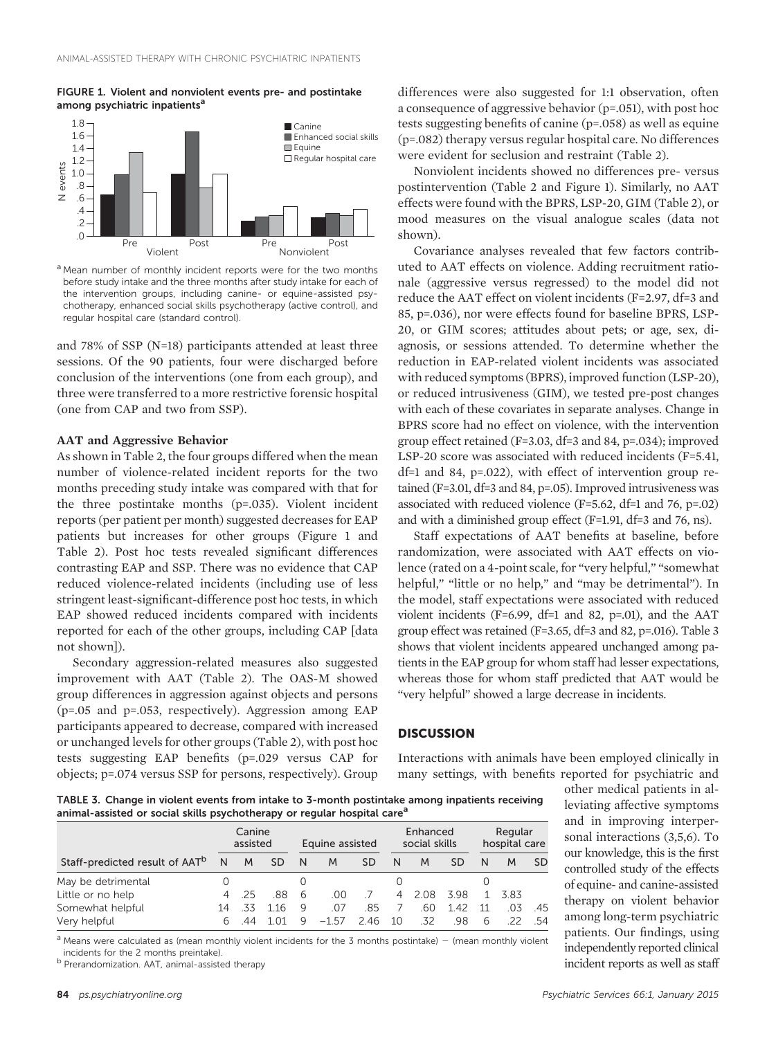## FIGURE 1. Violent and nonviolent events pre- and postintake among psychiatric inpatients<sup>a</sup>



<sup>a</sup> Mean number of monthly incident reports were for the two months before study intake and the three months after study intake for each of the intervention groups, including canine- or equine-assisted psychotherapy, enhanced social skills psychotherapy (active control), and regular hospital care (standard control).

and 78% of SSP (N=18) participants attended at least three sessions. Of the 90 patients, four were discharged before conclusion of the interventions (one from each group), and three were transferred to a more restrictive forensic hospital (one from CAP and two from SSP).

# AAT and Aggressive Behavior

As shown in Table 2, the four groups differed when the mean number of violence-related incident reports for the two months preceding study intake was compared with that for the three postintake months (p=.035). Violent incident reports (per patient per month) suggested decreases for EAP patients but increases for other groups (Figure 1 and Table 2). Post hoc tests revealed significant differences contrasting EAP and SSP. There was no evidence that CAP reduced violence-related incidents (including use of less stringent least-significant-difference post hoc tests, in which EAP showed reduced incidents compared with incidents reported for each of the other groups, including CAP [data not shown]).

Secondary aggression-related measures also suggested improvement with AAT (Table 2). The OAS-M showed group differences in aggression against objects and persons (p=.05 and p=.053, respectively). Aggression among EAP participants appeared to decrease, compared with increased or unchanged levels for other groups (Table 2), with post hoc tests suggesting EAP benefits (p=.029 versus CAP for objects; p=.074 versus SSP for persons, respectively). Group

differences were also suggested for 1:1 observation, often a consequence of aggressive behavior (p=.051), with post hoc tests suggesting benefits of canine (p=.058) as well as equine (p=.082) therapy versus regular hospital care. No differences were evident for seclusion and restraint (Table 2).

Nonviolent incidents showed no differences pre- versus postintervention (Table 2 and Figure 1). Similarly, no AAT effects were found with the BPRS, LSP-20, GIM (Table 2), or mood measures on the visual analogue scales (data not shown).

Covariance analyses revealed that few factors contributed to AAT effects on violence. Adding recruitment rationale (aggressive versus regressed) to the model did not reduce the AAT effect on violent incidents (F=2.97, df=3 and 85, p=.036), nor were effects found for baseline BPRS, LSP-20, or GIM scores; attitudes about pets; or age, sex, diagnosis, or sessions attended. To determine whether the reduction in EAP-related violent incidents was associated with reduced symptoms (BPRS), improved function (LSP-20), or reduced intrusiveness (GIM), we tested pre-post changes with each of these covariates in separate analyses. Change in BPRS score had no effect on violence, with the intervention group effect retained (F=3.03, df=3 and 84, p=.034); improved LSP-20 score was associated with reduced incidents (F=5.41, df=1 and 84, p=.022), with effect of intervention group retained (F=3.01, df=3 and 84, p=.05). Improved intrusiveness was associated with reduced violence (F=5.62, df=1 and 76, p=.02) and with a diminished group effect (F=1.91, df=3 and 76, ns).

Staff expectations of AAT benefits at baseline, before randomization, were associated with AAT effects on violence (rated on a 4-point scale, for "very helpful," "somewhat helpful," "little or no help," and "may be detrimental"). In the model, staff expectations were associated with reduced violent incidents (F=6.99, df=1 and 82, p=.01), and the AAT group effect was retained (F=3.65, df=3 and 82, p=.016). Table 3 shows that violent incidents appeared unchanged among patients in the EAP group for whom staff had lesser expectations, whereas those for whom staff predicted that AAT would be "very helpful" showed a large decrease in incidents.

# **DISCUSSION**

Interactions with animals have been employed clinically in many settings, with benefits reported for psychiatric and

TABLE 3. Change in violent events from intake to 3-month postintake among inpatients receiving animal-assisted or social skills psychotherapy or regular hospital care<sup>a</sup>

|                                            |                | Canine<br>assisted |           | Equine assisted |         |     | Enhanced<br>social skills |       |     | Regular<br>hospital care |     |     |
|--------------------------------------------|----------------|--------------------|-----------|-----------------|---------|-----|---------------------------|-------|-----|--------------------------|-----|-----|
| Staff-predicted result of AAT <sup>b</sup> | N              | M                  | <b>SD</b> | N               | M       | SD  | N                         | M     | SD  | N                        | M   | SD  |
| May be detrimental                         |                |                    |           |                 |         |     |                           |       |     |                          |     |     |
| Little or no help                          | $\overline{4}$ | - 25               | 88        | 6               | .00     |     | 4                         | -2.08 | 398 |                          | 383 |     |
| Somewhat helpful                           | 14             | - 33               | 116       | 9               | .07     | .85 |                           | .60   | 142 | 11                       |     | 45  |
| Very helpful                               | h              | 44                 |           |                 | $-1.57$ | 246 | 10                        | .32   | 98  | 6                        |     | -54 |

 $a$  Means were calculated as (mean monthly violent incidents for the 3 months postintake) – (mean monthly violent incidents for the 2 months preintake).

<sup>b</sup> Prerandomization. AAT, animal-assisted therapy

other medical patients in alleviating affective symptoms and in improving interpersonal interactions (3,5,6). To our knowledge, this is the first controlled study of the effects of equine- and canine-assisted therapy on violent behavior among long-term psychiatric patients. Our findings, using independently reported clinical incident reports as well as staff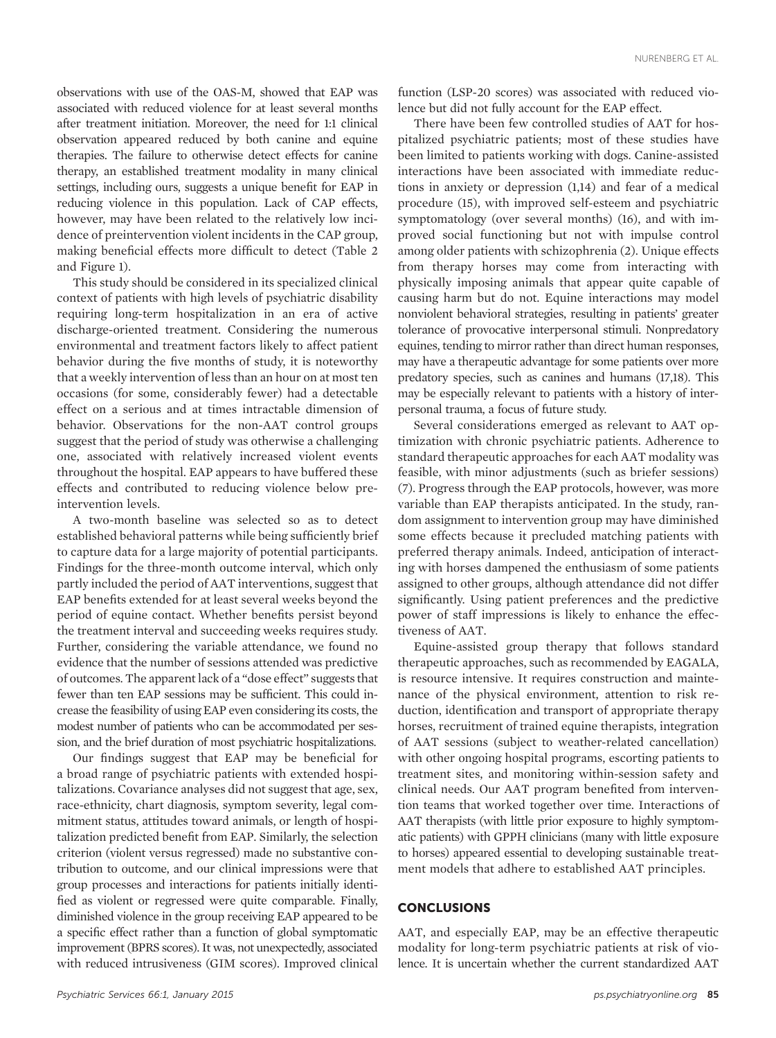observations with use of the OAS-M, showed that EAP was associated with reduced violence for at least several months after treatment initiation. Moreover, the need for 1:1 clinical observation appeared reduced by both canine and equine therapies. The failure to otherwise detect effects for canine therapy, an established treatment modality in many clinical settings, including ours, suggests a unique benefit for EAP in reducing violence in this population. Lack of CAP effects, however, may have been related to the relatively low incidence of preintervention violent incidents in the CAP group, making beneficial effects more difficult to detect (Table 2 and Figure 1).

This study should be considered in its specialized clinical context of patients with high levels of psychiatric disability requiring long-term hospitalization in an era of active discharge-oriented treatment. Considering the numerous environmental and treatment factors likely to affect patient behavior during the five months of study, it is noteworthy that a weekly intervention of less than an hour on at most ten occasions (for some, considerably fewer) had a detectable effect on a serious and at times intractable dimension of behavior. Observations for the non-AAT control groups suggest that the period of study was otherwise a challenging one, associated with relatively increased violent events throughout the hospital. EAP appears to have buffered these effects and contributed to reducing violence below preintervention levels.

A two-month baseline was selected so as to detect established behavioral patterns while being sufficiently brief to capture data for a large majority of potential participants. Findings for the three-month outcome interval, which only partly included the period of AAT interventions, suggest that EAP benefits extended for at least several weeks beyond the period of equine contact. Whether benefits persist beyond the treatment interval and succeeding weeks requires study. Further, considering the variable attendance, we found no evidence that the number of sessions attended was predictive of outcomes. The apparent lack of a "dose effect" suggests that fewer than ten EAP sessions may be sufficient. This could increase the feasibility of using EAP even considering its costs, the modest number of patients who can be accommodated per session, and the brief duration of most psychiatric hospitalizations.

Our findings suggest that EAP may be beneficial for a broad range of psychiatric patients with extended hospitalizations. Covariance analyses did not suggest that age, sex, race-ethnicity, chart diagnosis, symptom severity, legal commitment status, attitudes toward animals, or length of hospitalization predicted benefit from EAP. Similarly, the selection criterion (violent versus regressed) made no substantive contribution to outcome, and our clinical impressions were that group processes and interactions for patients initially identified as violent or regressed were quite comparable. Finally, diminished violence in the group receiving EAP appeared to be a specific effect rather than a function of global symptomatic improvement (BPRS scores). It was, not unexpectedly, associated with reduced intrusiveness (GIM scores). Improved clinical

function (LSP-20 scores) was associated with reduced violence but did not fully account for the EAP effect.

There have been few controlled studies of AAT for hospitalized psychiatric patients; most of these studies have been limited to patients working with dogs. Canine-assisted interactions have been associated with immediate reductions in anxiety or depression (1,14) and fear of a medical procedure (15), with improved self-esteem and psychiatric symptomatology (over several months) (16), and with improved social functioning but not with impulse control among older patients with schizophrenia (2). Unique effects from therapy horses may come from interacting with physically imposing animals that appear quite capable of causing harm but do not. Equine interactions may model nonviolent behavioral strategies, resulting in patients' greater tolerance of provocative interpersonal stimuli. Nonpredatory equines, tending to mirror rather than direct human responses, may have a therapeutic advantage for some patients over more predatory species, such as canines and humans (17,18). This may be especially relevant to patients with a history of interpersonal trauma, a focus of future study.

Several considerations emerged as relevant to AAT optimization with chronic psychiatric patients. Adherence to standard therapeutic approaches for each AAT modality was feasible, with minor adjustments (such as briefer sessions) (7). Progress through the EAP protocols, however, was more variable than EAP therapists anticipated. In the study, random assignment to intervention group may have diminished some effects because it precluded matching patients with preferred therapy animals. Indeed, anticipation of interacting with horses dampened the enthusiasm of some patients assigned to other groups, although attendance did not differ significantly. Using patient preferences and the predictive power of staff impressions is likely to enhance the effectiveness of AAT.

Equine-assisted group therapy that follows standard therapeutic approaches, such as recommended by EAGALA, is resource intensive. It requires construction and maintenance of the physical environment, attention to risk reduction, identification and transport of appropriate therapy horses, recruitment of trained equine therapists, integration of AAT sessions (subject to weather-related cancellation) with other ongoing hospital programs, escorting patients to treatment sites, and monitoring within-session safety and clinical needs. Our AAT program benefited from intervention teams that worked together over time. Interactions of AAT therapists (with little prior exposure to highly symptomatic patients) with GPPH clinicians (many with little exposure to horses) appeared essential to developing sustainable treatment models that adhere to established AAT principles.

## **CONCLUSIONS**

AAT, and especially EAP, may be an effective therapeutic modality for long-term psychiatric patients at risk of violence. It is uncertain whether the current standardized AAT